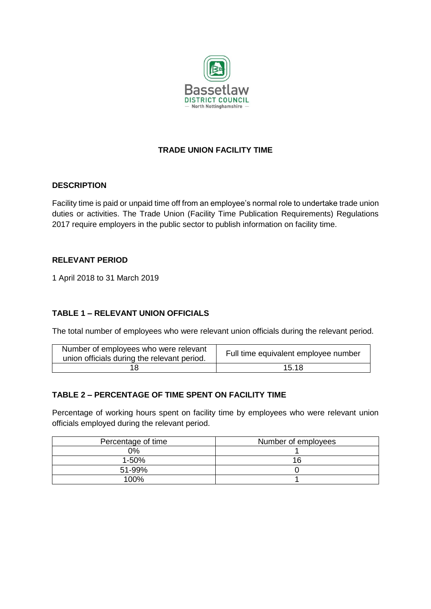

# **TRADE UNION FACILITY TIME**

#### **DESCRIPTION**

Facility time is paid or unpaid time off from an employee's normal role to undertake trade union duties or activities. The Trade Union (Facility Time Publication Requirements) Regulations 2017 require employers in the public sector to publish information on facility time.

#### **RELEVANT PERIOD**

1 April 2018 to 31 March 2019

# **TABLE 1 – RELEVANT UNION OFFICIALS**

The total number of employees who were relevant union officials during the relevant period.

| Number of employees who were relevant<br>union officials during the relevant period. | Full time equivalent employee number |
|--------------------------------------------------------------------------------------|--------------------------------------|
|                                                                                      | 15.18                                |

# **TABLE 2 – PERCENTAGE OF TIME SPENT ON FACILITY TIME**

Percentage of working hours spent on facility time by employees who were relevant union officials employed during the relevant period.

| Percentage of time | Number of employees |
|--------------------|---------------------|
| 0%                 |                     |
| $1 - 50%$          | 16                  |
| 51-99%             |                     |
| 100%               |                     |